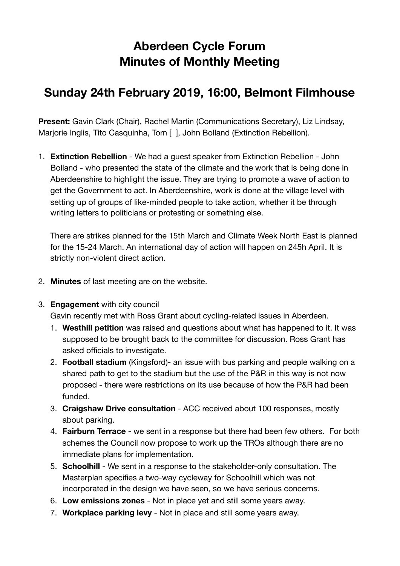## **Aberdeen Cycle Forum Minutes of Monthly Meeting**

## **Sunday 24th February 2019, 16:00, Belmont Filmhouse**

**Present:** Gavin Clark (Chair), Rachel Martin (Communications Secretary), Liz Lindsay, Marjorie Inglis, Tito Casquinha, Tom [ ], John Bolland (Extinction Rebellion).

1. **Extinction Rebellion** - We had a guest speaker from Extinction Rebellion - John Bolland - who presented the state of the climate and the work that is being done in Aberdeenshire to highlight the issue. They are trying to promote a wave of action to get the Government to act. In Aberdeenshire, work is done at the village level with setting up of groups of like-minded people to take action, whether it be through writing letters to politicians or protesting or something else.

There are strikes planned for the 15th March and Climate Week North East is planned for the 15-24 March. An international day of action will happen on 245h April. It is strictly non-violent direct action.

- 2. **Minutes** of last meeting are on the website.
- 3. **Engagement** with city council

Gavin recently met with Ross Grant about cycling-related issues in Aberdeen.

- 1. **Westhill petition** was raised and questions about what has happened to it. It was supposed to be brought back to the committee for discussion. Ross Grant has asked officials to investigate.
- 2. **Football stadium** (Kingsford)- an issue with bus parking and people walking on a shared path to get to the stadium but the use of the P&R in this way is not now proposed - there were restrictions on its use because of how the P&R had been funded.
- 3. **Craigshaw Drive consultation** ACC received about 100 responses, mostly about parking.
- 4. **Fairburn Terrace** we sent in a response but there had been few others. For both schemes the Council now propose to work up the TROs although there are no immediate plans for implementation.
- 5. **Schoolhill** We sent in a response to the stakeholder-only consultation. The Masterplan specifies a two-way cycleway for Schoolhill which was not incorporated in the design we have seen, so we have serious concerns.
- 6. **Low emissions zones**  Not in place yet and still some years away.
- 7. **Workplace parking levy** Not in place and still some years away.